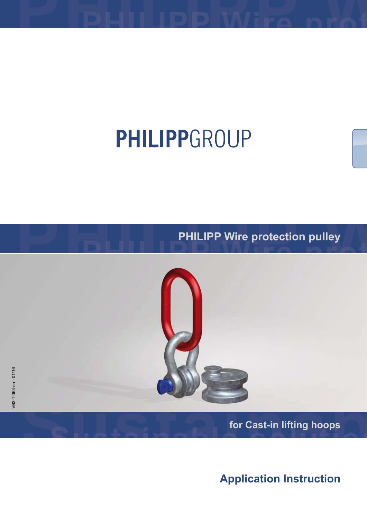# PHILIPPGROUP

**PHILIPP Wire protection pulley**



**for Cast-in lifting hoops**

**Application Instruction**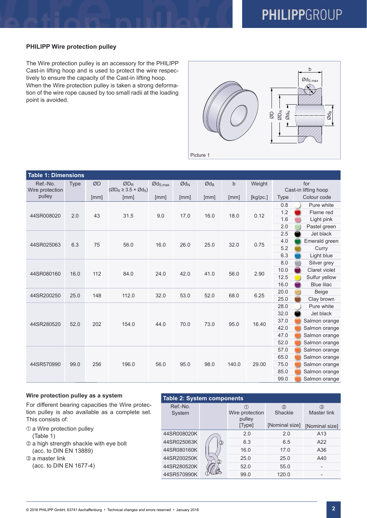# **PHILIPP Wire protection pulley**

The Wire protection pulley is an accessory for the PHILIPP Cast-in lifting hoop and is used to protect the wire respectively to ensure the capacity of the Cast-in lifting hoop. When the Wire protection pulley is taken a strong deformation of the wire rope caused by too small radii at the loading point is avoided.



| <b>Table 1: Dimensions</b> |             |      |                                                 |                                  |                            |                          |       |          |             |                      |  |  |  |  |
|----------------------------|-------------|------|-------------------------------------------------|----------------------------------|----------------------------|--------------------------|-------|----------|-------------|----------------------|--|--|--|--|
| Ref.-No.                   | <b>Type</b> | ØD   | $ØD_R$                                          | $\varnothing$ d <sub>S.max</sub> | $\emptyset$ d <sub>N</sub> | $\textsf{Od}_\textsf{B}$ | b     | Weight   | for         |                      |  |  |  |  |
| Wire protection            |             |      | $(\emptyset D_R \geq 3.5 \times \emptyset d_S)$ |                                  |                            |                          |       |          |             | Cast-in lifting hoop |  |  |  |  |
| pulley                     |             | [mm] | [mm]                                            | [mm]                             | [mm]                       | [mm]                     | [mm]  | [kg/pc.] | <b>Type</b> | Colour code          |  |  |  |  |
|                            |             | 43   | 31.5                                            | 9.0                              | 17.0                       | 16.0                     | 18.0  | 0.12     | 0.8         | Pure white           |  |  |  |  |
| 44SR008020                 | 2.0         |      |                                                 |                                  |                            |                          |       |          | 1.2         | Flame red            |  |  |  |  |
|                            |             |      |                                                 |                                  |                            |                          |       |          | 1.6         | Light pink           |  |  |  |  |
|                            |             |      |                                                 |                                  |                            |                          |       |          | 2.0         | Pastel green         |  |  |  |  |
|                            |             |      |                                                 | 16.0                             | 26.0                       |                          |       | 0.75     | 2.5         | Jet black            |  |  |  |  |
| 44SR025063                 | 6.3         | 75   | 56.0                                            |                                  |                            | 25.0                     | 32.0  |          | 4.0         | Emerald green        |  |  |  |  |
|                            |             |      |                                                 |                                  |                            |                          |       |          | 5.2         | Curry                |  |  |  |  |
|                            |             |      |                                                 |                                  |                            |                          |       |          | 6.3         | Light blue           |  |  |  |  |
| 44SR080160                 |             | 112  | 84.0                                            | 24.0                             | 42.0                       | 41.0                     | 56.0  | 2.90     | 8.0         | Silver grey          |  |  |  |  |
|                            | 16.0        |      |                                                 |                                  |                            |                          |       |          | 10.0        | Claret violet        |  |  |  |  |
|                            |             |      |                                                 |                                  |                            |                          |       |          | 12.5        | Sulfur yellow        |  |  |  |  |
|                            |             |      |                                                 |                                  |                            |                          |       |          | 16.0        | <b>Blue lilac</b>    |  |  |  |  |
| 44SR200250                 | 25.0        | 148  | 112.0                                           | 32.0                             | 53.0                       | 52.0                     | 68.0  | 6.25     | 20.0        | <b>Beige</b>         |  |  |  |  |
|                            |             |      |                                                 |                                  |                            |                          |       |          | 25.0        | Clay brown           |  |  |  |  |
|                            |             | 202  |                                                 | 44.0                             |                            |                          |       |          | 28.0        | Pure white           |  |  |  |  |
|                            |             |      | 154.0                                           |                                  |                            |                          | 95.0  |          | 32.0        | Jet black            |  |  |  |  |
| 44SR280520                 | 52.0        |      |                                                 |                                  | 70.0                       | 73.0                     |       |          | 37.0        | Salmon orange        |  |  |  |  |
|                            |             |      |                                                 |                                  |                            |                          |       | 16.40    | 42.0        | Salmon orange        |  |  |  |  |
|                            |             |      |                                                 |                                  |                            |                          |       |          | 47.0        | Salmon orange        |  |  |  |  |
|                            |             |      |                                                 |                                  |                            |                          |       |          | 52.0        | Salmon orange        |  |  |  |  |
|                            |             |      | 196.0                                           | 56.0                             | 95.0                       |                          |       |          | 57.0        | Salmon orange        |  |  |  |  |
|                            |             |      |                                                 |                                  |                            |                          |       | 29.00    | 65.0        | Salmon orange        |  |  |  |  |
| 44SR570990                 | 99.0        | 256  |                                                 |                                  |                            | 98.0                     | 140.0 |          | 75.0        | Salmon orange        |  |  |  |  |
|                            |             |      |                                                 |                                  |                            |                          |       |          | 85.0        | Salmon orange        |  |  |  |  |
|                            |             |      |                                                 |                                  |                            |                          |       |          | 99.0        | Salmon orange        |  |  |  |  |

# **Wire protection pulley as a system**

For different bearing capacities the Wire protection pulley is also available as a complete set. This consists of:

- $\odot$  a Wire protection pulley  $(Table 1)$
- a high strength shackle with eye bolt (acc. to DIN EN 13889)

**3** a master link (acc. to DIN EN 1677-4)

| <b>Table 2: System components</b> |   |                           |                |                                           |  |  |  |  |  |  |  |  |
|-----------------------------------|---|---------------------------|----------------|-------------------------------------------|--|--|--|--|--|--|--|--|
| Ref.-No.<br>System                |   | Wire protection<br>pulley | ②<br>Shackle   | ③<br><b>Master link</b><br>[Nominal size] |  |  |  |  |  |  |  |  |
|                                   |   | [Type]                    | [Nominal size] |                                           |  |  |  |  |  |  |  |  |
| 44SR008020K                       |   | 2.0                       | 2.0            | A <sub>13</sub>                           |  |  |  |  |  |  |  |  |
| 44SR025063K                       | 3 | 6.3                       | 6.5            | A22                                       |  |  |  |  |  |  |  |  |
| 44SR080160K                       |   | 16.0                      | 17.0           | A36                                       |  |  |  |  |  |  |  |  |
| 44SR200250K                       | 2 | 25.0                      | 25.0           | A40                                       |  |  |  |  |  |  |  |  |
| 44SR280520K                       |   | 52.0                      | 55.0           |                                           |  |  |  |  |  |  |  |  |
| 44SR570990K                       |   | 99.0                      | 120.0          |                                           |  |  |  |  |  |  |  |  |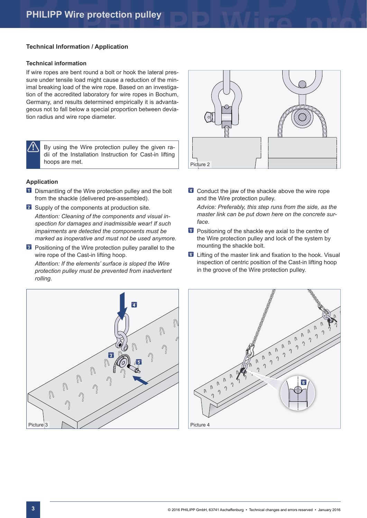## **Technical Information / Application**

#### **Technical information**

If wire ropes are bent round a bolt or hook the lateral pressure under tensile load might cause a reduction of the minimal breaking load of the wire rope. Based on an investigation of the accredited laboratory for wire ropes in Bochum, Germany, and results determined empirically it is advantageous not to fall below a special proportion between deviation radius and wire rope diameter.



By using the Wire protection pulley the given radii of the Installation Instruction for Cast-in lifting hoops are met.

#### **Application**

- **1** Dismantling of the Wire protection pulley and the bolt from the shackle (delivered pre-assembled).
- **2** Supply of the components at production site. *Attention: Cleaning of the components and visual inspection for damages and inadmissible wear! If such impairments are detected the components must be marked as inoperative and must not be used anymore.*
- **B** Positioning of the Wire protection pulley parallel to the wire rope of the Cast-in lifting hoop.

*Attention: If the elements' surface is sloped the Wire protection pulley must be prevented from inadvertent rolling.*





- 4 Conduct the jaw of the shackle above the wire rope and the Wire protection pulley. *Advice: Preferably, this step runs from the side, as the master link can be put down here on the concrete surface.*
- **B** Positioning of the shackle eye axial to the centre of the Wire protection pulley and lock of the system by mounting the shackle bolt.
- 6 Lifting of the master link and fixation to the hook. Visual inspection of centric position of the Cast-in lifting hoop in the groove of the Wire protection pulley.